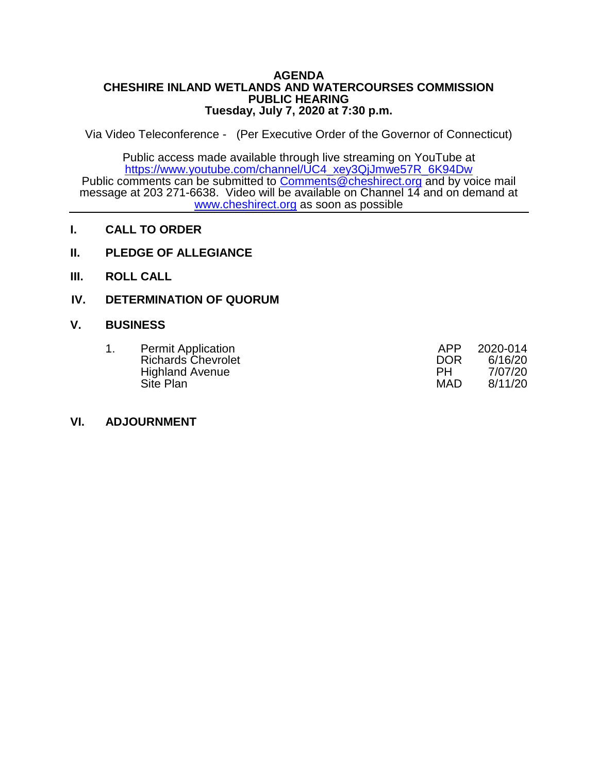#### **AGENDA CHESHIRE INLAND WETLANDS AND WATERCOURSES COMMISSION PUBLIC HEARING Tuesday, July 7, 2020 at 7:30 p.m.**

Via Video Teleconference - (Per Executive Order of the Governor of Connecticut)

Public access made available through live streaming on YouTube at [https://www.youtube.com/channel/UC4\\_xey3QjJmwe57R\\_6K94Dw](https://www.youtube.com/channel/UC4_xey3QjJmwe57R_6K94Dw) Public comments can be submitted to [Comments@cheshirect.org](mailto:Comments@cheshirect.org) and by voice mail message at 203 271-6638. Video will be available on Channel 14 and on demand at [www.cheshirect.org](http://www.cheshirect.org/) as soon as possible

- **I. CALL TO ORDER**
- **II. PLEDGE OF ALLEGIANCE**
- **III. ROLL CALL**

### **IV. DETERMINATION OF QUORUM**

#### **V. BUSINESS**

|  | <b>Permit Application</b> | APP        | 2020-014 |
|--|---------------------------|------------|----------|
|  | <b>Richards Chevrolet</b> | <b>DOR</b> | 6/16/20  |
|  | <b>Highland Avenue</b>    | PH         | 7/07/20  |
|  | Site Plan                 | <b>MAD</b> | 8/11/20  |

#### **VI. ADJOURNMENT**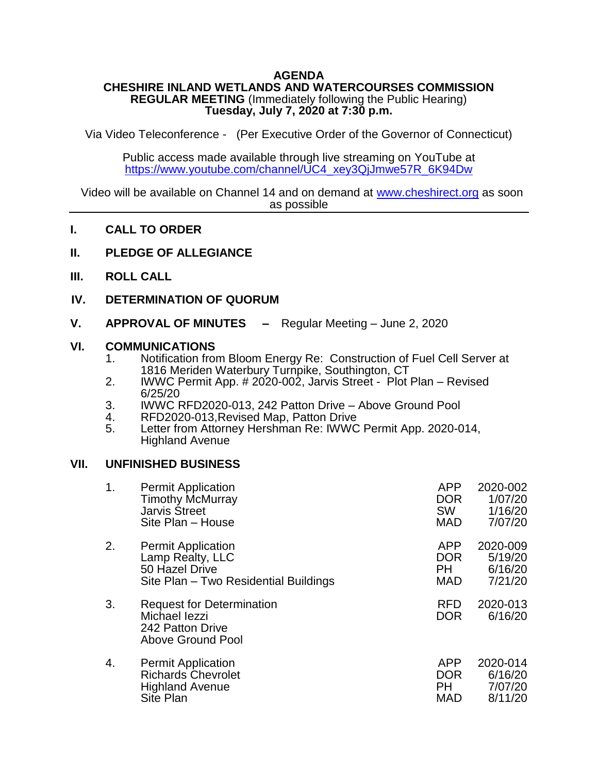### **AGENDA**

#### **CHESHIRE INLAND WETLANDS AND WATERCOURSES COMMISSION REGULAR MEETING** (Immediately following the Public Hearing) **Tuesday, July 7, 2020 at 7:30 p.m.**

Via Video Teleconference - (Per Executive Order of the Governor of Connecticut)

Public access made available through live streaming on YouTube at [https://www.youtube.com/channel/UC4\\_xey3QjJmwe57R\\_6K94Dw](https://www.youtube.com/channel/UC4_xey3QjJmwe57R_6K94Dw)

Video will be available on Channel 14 and on demand at [www.cheshirect.org](http://www.cheshirect.org/) as soon as possible

- **I. CALL TO ORDER**
- **II. PLEDGE OF ALLEGIANCE**
- **III. ROLL CALL**
- **IV. DETERMINATION OF QUORUM**
- **V. APPROVAL OF MINUTES –** Regular Meeting June 2, 2020

#### **VI. COMMUNICATIONS**

- 1. Notification from Bloom Energy Re: Construction of Fuel Cell Server at 1816 Meriden Waterbury Turnpike, Southington, CT
- 2. IWWC Permit App. # 2020-002, Jarvis Street Plot Plan Revised 6/25/20
- 3. IWWC RFD2020-013, 242 Patton Drive Above Ground Pool<br>4. RFD2020-013. Revised Map. Patton Drive
- 4. RFD2020-013, Revised Map, Patton Drive<br>5. Letter from Attornev Hershman Re: IWWC
- Letter from Attorney Hershman Re: IWWC Permit App. 2020-014, Highland Avenue

#### **VII. UNFINISHED BUSINESS**

| 1. | <b>Permit Application</b>                                                                  | <b>APP</b>               | 2020-002            |
|----|--------------------------------------------------------------------------------------------|--------------------------|---------------------|
|    | <b>Timothy McMurray</b>                                                                    | <b>DOR</b>               | 1/07/20             |
|    | <b>Jarvis Street</b>                                                                       | SW                       | 1/16/20             |
|    | Site Plan - House                                                                          | <b>MAD</b>               | 7/07/20             |
| 2. | <b>Permit Application</b>                                                                  | <b>APP</b>               | 2020-009            |
|    | Lamp Realty, LLC                                                                           | <b>DOR</b>               | 5/19/20             |
|    | 50 Hazel Drive                                                                             | <b>PH</b>                | 6/16/20             |
|    | Site Plan - Two Residential Buildings                                                      | <b>MAD</b>               | 7/21/20             |
| 3. | <b>Request for Determination</b><br>Michael lezzi<br>242 Patton Drive<br>Above Ground Pool | <b>RFD</b><br><b>DOR</b> | 2020-013<br>6/16/20 |
| 4. | <b>Permit Application</b>                                                                  | <b>APP</b>               | 2020-014            |
|    | <b>Richards Chevrolet</b>                                                                  | <b>DOR</b>               | 6/16/20             |
|    | <b>Highland Avenue</b>                                                                     | <b>PH</b>                | 7/07/20             |
|    | Site Plan                                                                                  | <b>MAD</b>               | 8/11/20             |